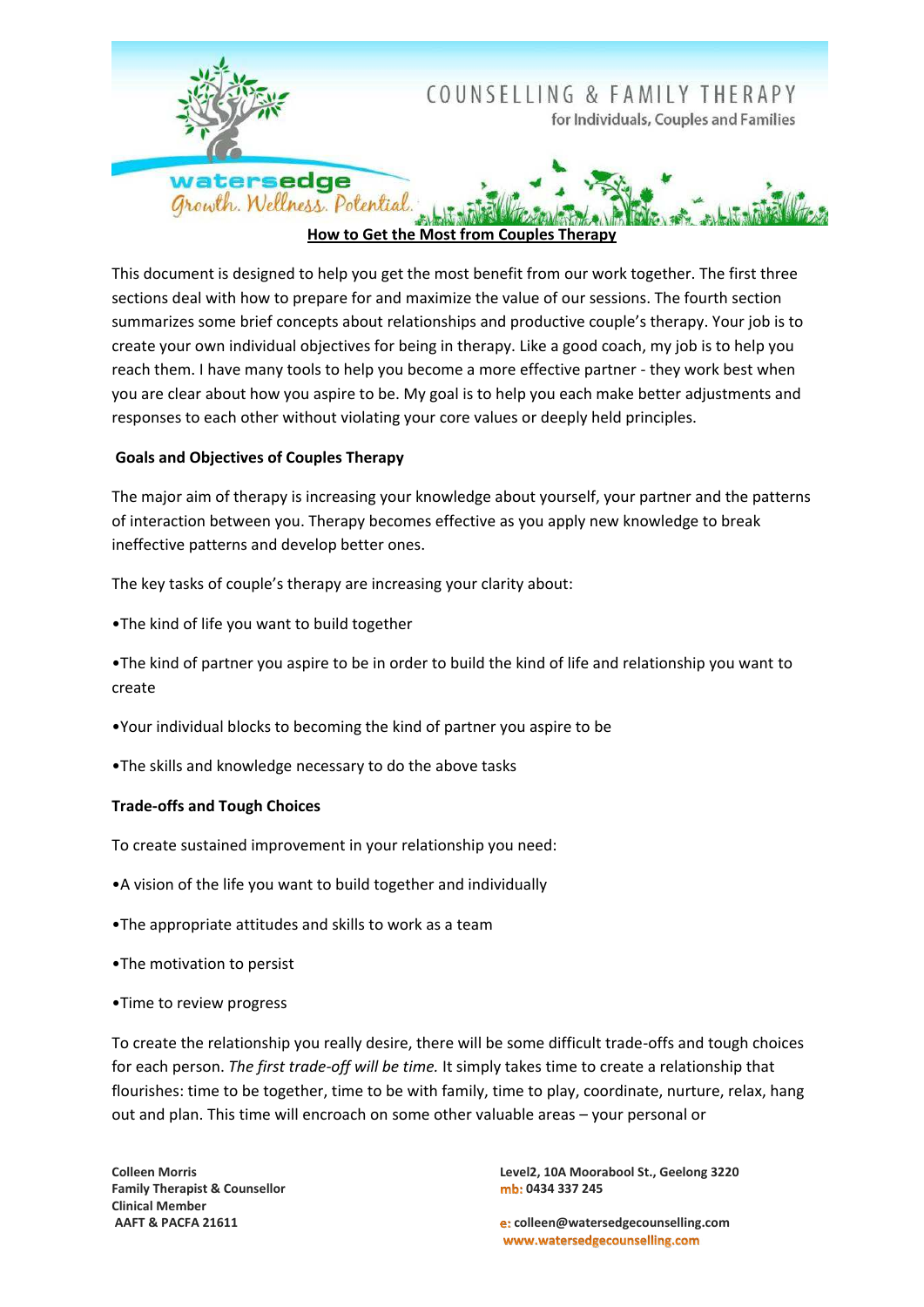

How to Get the Most from Couples Therapy

This document is designed to help you get the most benefit from our work together. The first three sections deal with how to prepare for and maximize the value of our sessions. The fourth section summarizes some brief concepts about relationships and productive couple's therapy. Your job is to create your own individual objectives for being in therapy. Like a good coach, my job is to help you reach them. I have many tools to help you become a more effective partner - they work best when you are clear about how you aspire to be. My goal is to help you each make better adjustments and responses to each other without violating your core values or deeply held principles.

# **Goals and Objectives of Couples Therapy**

The major aim of therapy is increasing your knowledge about yourself, your partner and the patterns of interaction between you. Therapy becomes effective as you apply new knowledge to break ineffective patterns and develop better ones.

The key tasks of couple's therapy are increasing your clarity about:

.The kind of life you want to build together

•The kind of partner you aspire to be in order to build the kind of life and relationship you want to create

- •Your individual blocks to becoming the kind of partner you aspire to be
- . The skills and knowledge necessary to do the above tasks

# **Trade-offs and Tough Choices**

- To create sustained improvement in your relationship you need:
- •A vision of the life you want to build together and individually
- . The appropriate attitudes and skills to work as a team
- .The motivation to persist
- •Time to review progress

To create the relationship you really desire, there will be some difficult trade-offs and tough choices for each person. The first trade-off will be time. It simply takes time to create a relationship that flourishes: time to be together, time to be with family, time to play, coordinate, nurture, relax, hang out and plan. This time will encroach on some other valuable areas - your personal or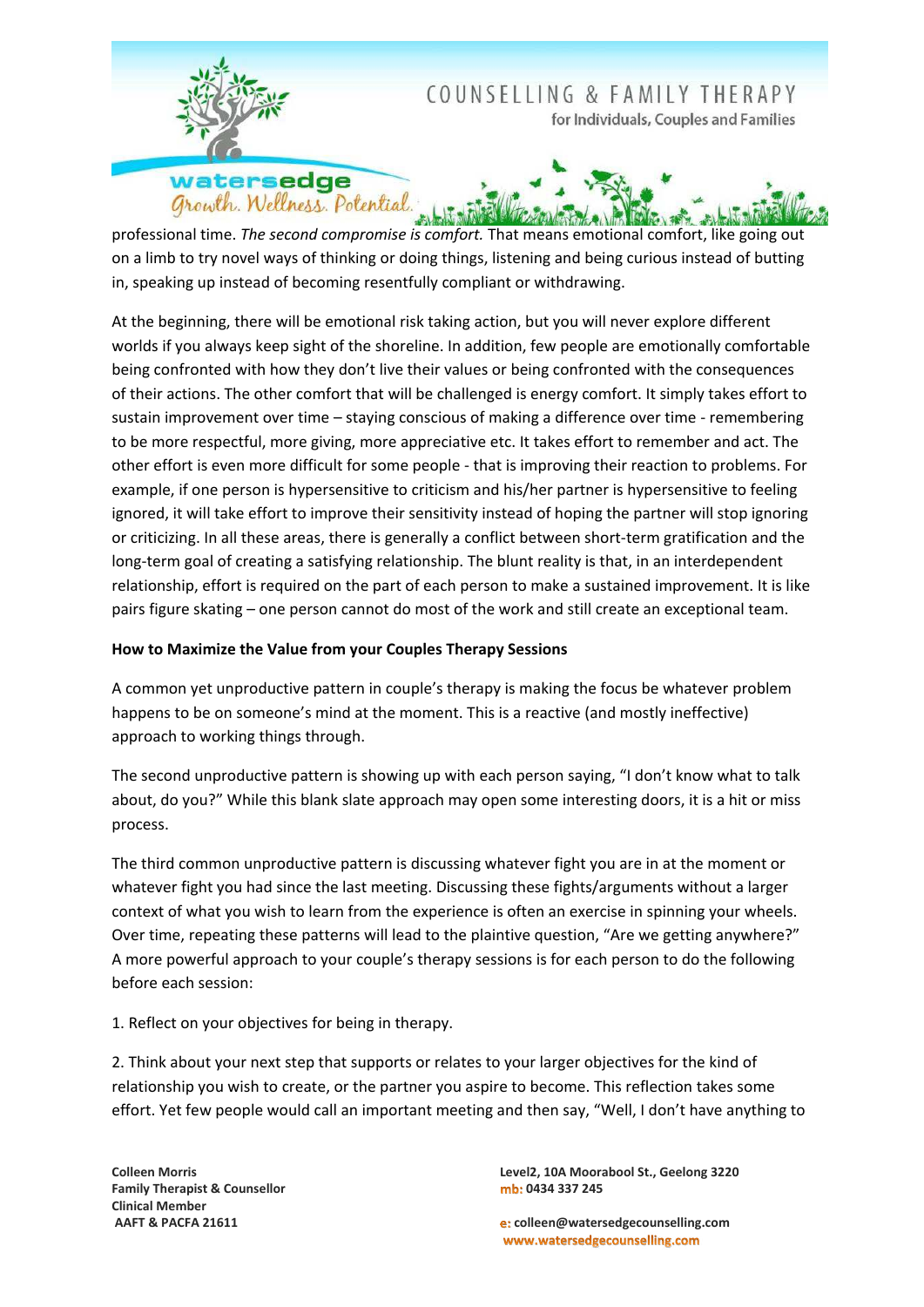

professional time. The second compromise is comfort. That means emotional comfort, like going out on a limb to try novel ways of thinking or doing things, listening and being curious instead of butting in, speaking up instead of becoming resentfully compliant or withdrawing.

At the beginning, there will be emotional risk taking action, but you will never explore different worlds if you always keep sight of the shoreline. In addition, few people are emotionally comfortable being confronted with how they don't live their values or being confronted with the consequences of their actions. The other comfort that will be challenged is energy comfort. It simply takes effort to sustain improvement over time - staying conscious of making a difference over time - remembering to be more respectful, more giving, more appreciative etc. It takes effort to remember and act. The other effort is even more difficult for some people - that is improving their reaction to problems. For example, if one person is hypersensitive to criticism and his/her partner is hypersensitive to feeling ignored, it will take effort to improve their sensitivity instead of hoping the partner will stop ignoring or criticizing. In all these areas, there is generally a conflict between short-term gratification and the long-term goal of creating a satisfying relationship. The blunt reality is that, in an interdependent relationship, effort is required on the part of each person to make a sustained improvement. It is like pairs figure skating - one person cannot do most of the work and still create an exceptional team.

# How to Maximize the Value from your Couples Therapy Sessions

A common yet unproductive pattern in couple's therapy is making the focus be whatever problem happens to be on someone's mind at the moment. This is a reactive (and mostly ineffective) approach to working things through.

The second unproductive pattern is showing up with each person saying, "I don't know what to talk about, do you?" While this blank slate approach may open some interesting doors, it is a hit or miss process.

The third common unproductive pattern is discussing whatever fight you are in at the moment or whatever fight you had since the last meeting. Discussing these fights/arguments without a larger context of what you wish to learn from the experience is often an exercise in spinning your wheels. Over time, repeating these patterns will lead to the plaintive question, "Are we getting anywhere?" A more powerful approach to your couple's therapy sessions is for each person to do the following before each session:

1. Reflect on your objectives for being in therapy.

2. Think about your next step that supports or relates to your larger objectives for the kind of relationship you wish to create, or the partner you aspire to become. This reflection takes some effort. Yet few people would call an important meeting and then say, "Well, I don't have anything to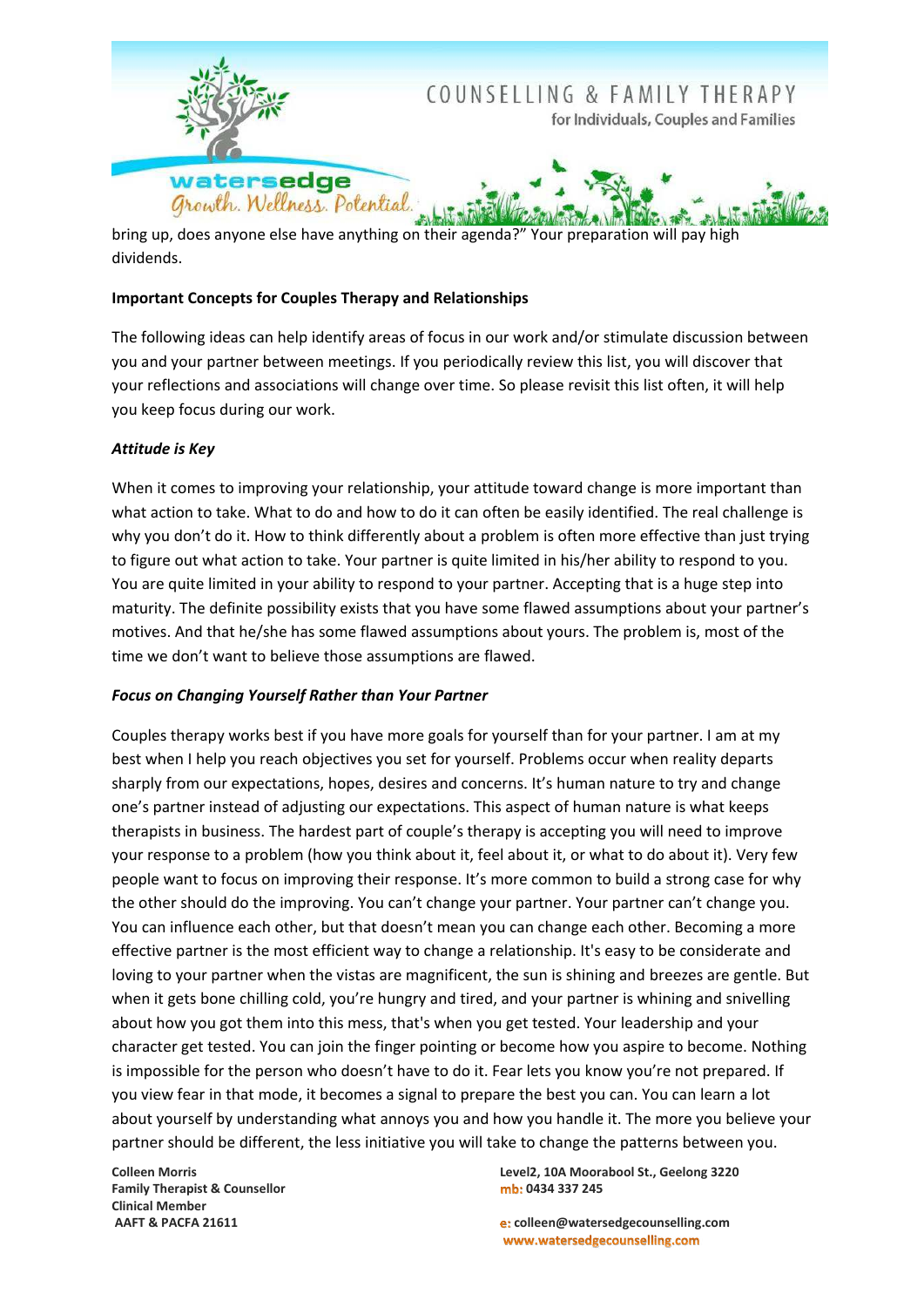

bring up, does anyone else have anything on their agenda?" Your preparation will pay high dividends.

## **Important Concepts for Couples Therapy and Relationships**

The following ideas can help identify areas of focus in our work and/or stimulate discussion between you and your partner between meetings. If you periodically review this list, you will discover that your reflections and associations will change over time. So please revisit this list often, it will help you keep focus during our work.

## **Attitude is Key**

When it comes to improving your relationship, your attitude toward change is more important than what action to take. What to do and how to do it can often be easily identified. The real challenge is why you don't do it. How to think differently about a problem is often more effective than just trying to figure out what action to take. Your partner is quite limited in his/her ability to respond to you. You are quite limited in your ability to respond to your partner. Accepting that is a huge step into maturity. The definite possibility exists that you have some flawed assumptions about your partner's motives. And that he/she has some flawed assumptions about yours. The problem is, most of the time we don't want to believe those assumptions are flawed.

#### **Focus on Changing Yourself Rather than Your Partner**

Couples therapy works best if you have more goals for yourself than for your partner. I am at my best when I help you reach objectives you set for yourself. Problems occur when reality departs sharply from our expectations, hopes, desires and concerns. It's human nature to try and change one's partner instead of adjusting our expectations. This aspect of human nature is what keeps therapists in business. The hardest part of couple's therapy is accepting you will need to improve your response to a problem (how you think about it, feel about it, or what to do about it). Very few people want to focus on improving their response. It's more common to build a strong case for why the other should do the improving. You can't change your partner. Your partner can't change you. You can influence each other, but that doesn't mean you can change each other. Becoming a more effective partner is the most efficient way to change a relationship. It's easy to be considerate and loving to your partner when the vistas are magnificent, the sun is shining and breezes are gentle. But when it gets bone chilling cold, you're hungry and tired, and your partner is whining and snivelling about how you got them into this mess, that's when you get tested. Your leadership and your character get tested. You can join the finger pointing or become how you aspire to become. Nothing is impossible for the person who doesn't have to do it. Fear lets you know you're not prepared. If you view fear in that mode, it becomes a signal to prepare the best you can. You can learn a lot about yourself by understanding what annoys you and how you handle it. The more you believe your partner should be different, the less initiative you will take to change the patterns between you.

**Colleen Morris Family Therapist & Counsellor Clinical Member** AAFT & PACFA 21611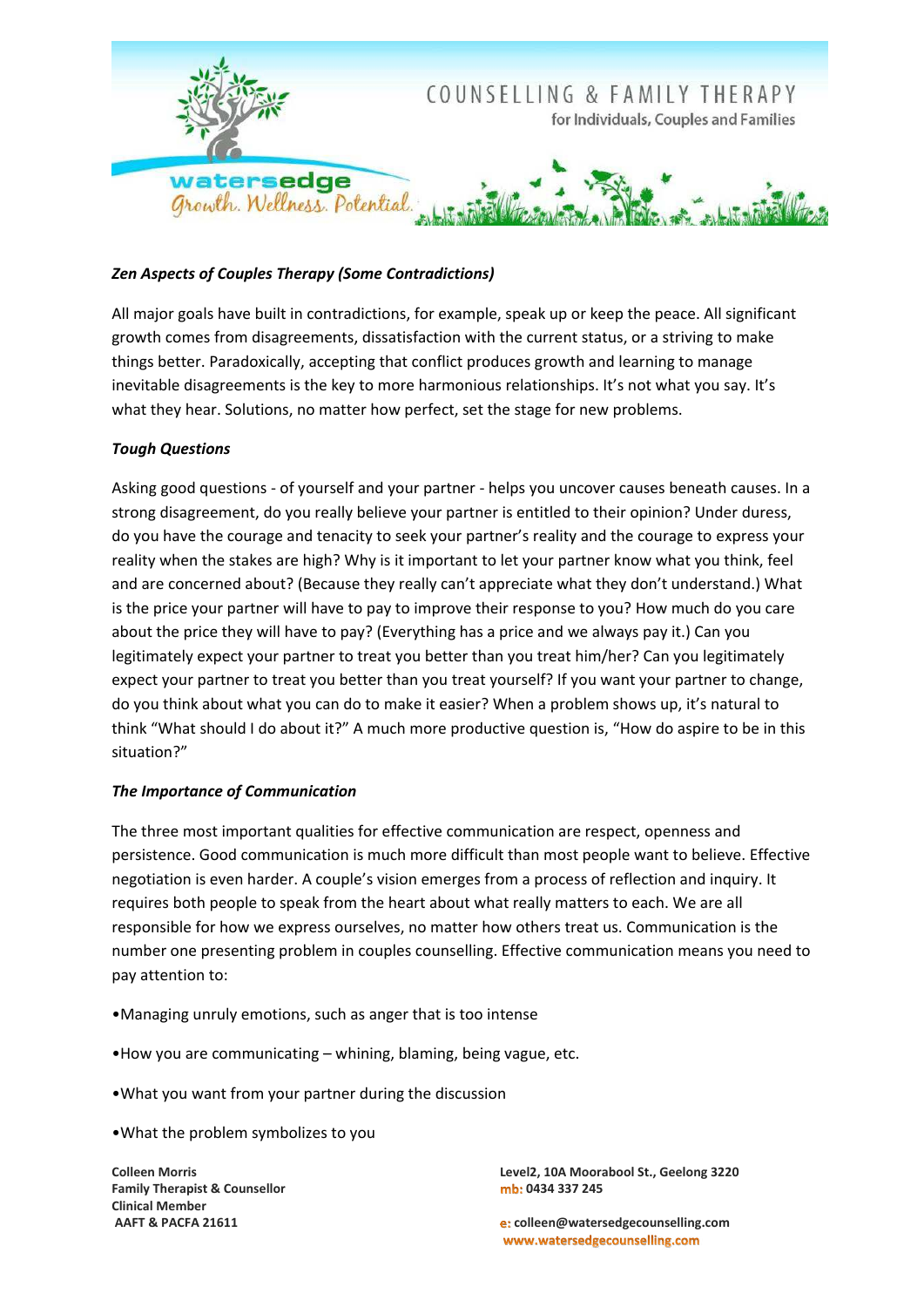

# **Zen Aspects of Couples Therapy (Some Contradictions)**

All major goals have built in contradictions, for example, speak up or keep the peace. All significant growth comes from disagreements, dissatisfaction with the current status, or a striving to make things better. Paradoxically, accepting that conflict produces growth and learning to manage inevitable disagreements is the key to more harmonious relationships. It's not what you say. It's what they hear. Solutions, no matter how perfect, set the stage for new problems.

## **Tough Questions**

Asking good questions - of yourself and your partner - helps you uncover causes beneath causes. In a strong disagreement, do you really believe your partner is entitled to their opinion? Under duress, do you have the courage and tenacity to seek your partner's reality and the courage to express your reality when the stakes are high? Why is it important to let your partner know what you think, feel and are concerned about? (Because they really can't appreciate what they don't understand.) What is the price your partner will have to pay to improve their response to you? How much do you care about the price they will have to pay? (Everything has a price and we always pay it.) Can you legitimately expect your partner to treat you better than you treat him/her? Can you legitimately expect your partner to treat you better than you treat yourself? If you want your partner to change, do you think about what you can do to make it easier? When a problem shows up, it's natural to think "What should I do about it?" A much more productive question is, "How do aspire to be in this situation?"

#### The Importance of Communication

The three most important qualities for effective communication are respect, openness and persistence. Good communication is much more difficult than most people want to believe. Effective negotiation is even harder. A couple's vision emerges from a process of reflection and inquiry. It requires both people to speak from the heart about what really matters to each. We are all responsible for how we express ourselves, no matter how others treat us. Communication is the number one presenting problem in couples counselling. Effective communication means you need to pay attention to:

•Managing unruly emotions, such as anger that is too intense

. How you are communicating - whining, blaming, being vague, etc.

. What you want from your partner during the discussion

. What the problem symbolizes to you

**Colleen Morris Family Therapist & Counsellor Clinical Member** AAFT & PACFA 21611

Level2, 10A Moorabool St., Geelong 3220 mb: 0434 337 245

e: colleen@watersedgecounselling.com www.watersedgecounselling.com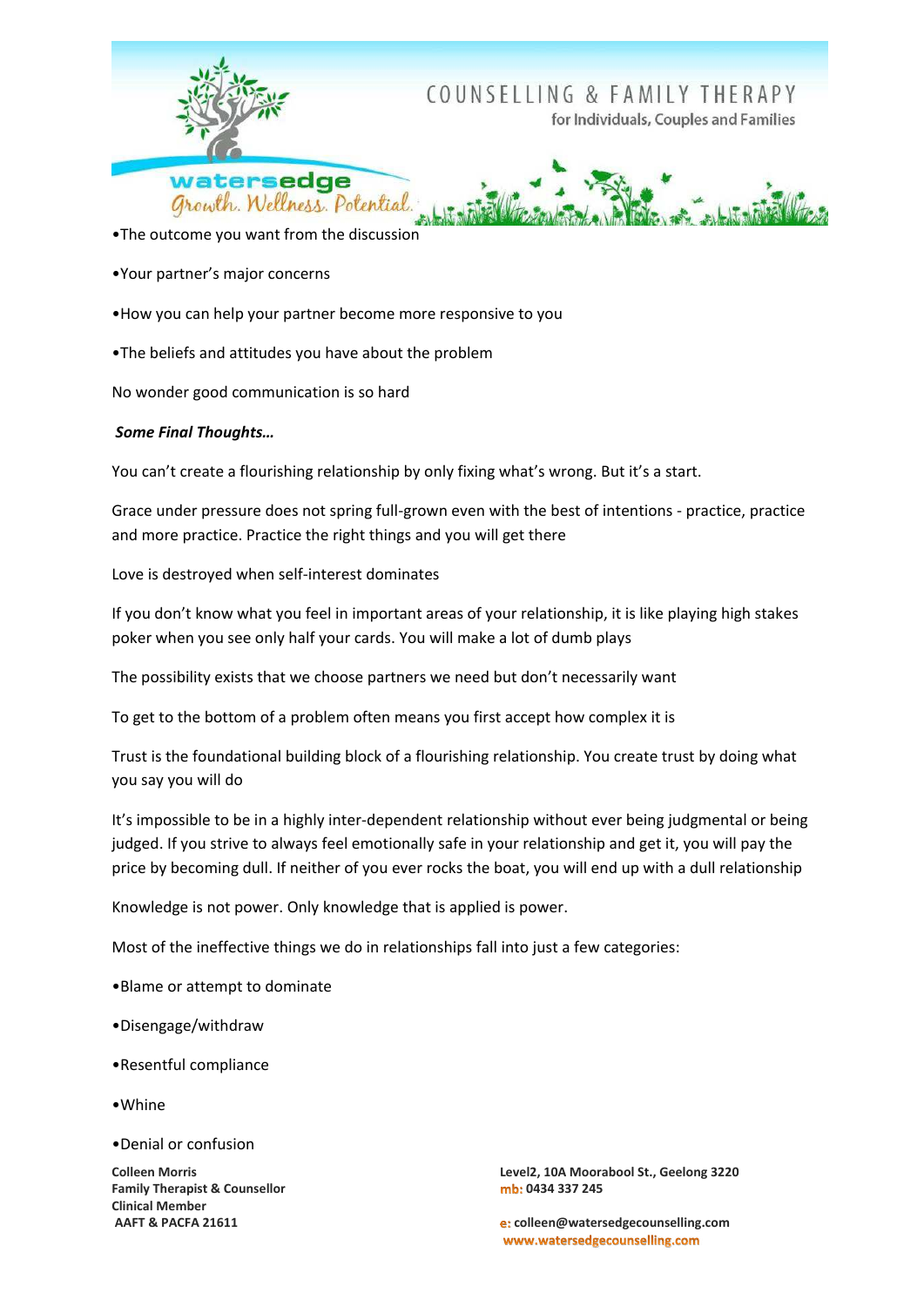

•The outcome you want from the discussion

•Your partner's major concerns

. How you can help your partner become more responsive to you

. The beliefs and attitudes you have about the problem

No wonder good communication is so hard

#### **Some Final Thoughts...**

You can't create a flourishing relationship by only fixing what's wrong. But it's a start.

Grace under pressure does not spring full-grown even with the best of intentions - practice, practice and more practice. Practice the right things and you will get there

Love is destroved when self-interest dominates

If you don't know what you feel in important areas of your relationship, it is like playing high stakes poker when you see only half your cards. You will make a lot of dumb plays

The possibility exists that we choose partners we need but don't necessarily want

To get to the bottom of a problem often means you first accept how complex it is

Trust is the foundational building block of a flourishing relationship. You create trust by doing what you say you will do

It's impossible to be in a highly inter-dependent relationship without ever being judgmental or being judged. If you strive to always feel emotionally safe in your relationship and get it, you will pay the price by becoming dull. If neither of you ever rocks the boat, you will end up with a dull relationship

Knowledge is not power. Only knowledge that is applied is power.

Most of the ineffective things we do in relationships fall into just a few categories:

•Blame or attempt to dominate

•Disengage/withdraw

•Resentful compliance

•Whine

•Denial or confusion

**Colleen Morris Family Therapist & Counsellor Clinical Member** AAFT & PACFA 21611

Level2, 10A Moorabool St., Geelong 3220 mb: 0434 337 245

e: colleen@watersedgecounselling.com www.watersedgecounselling.com